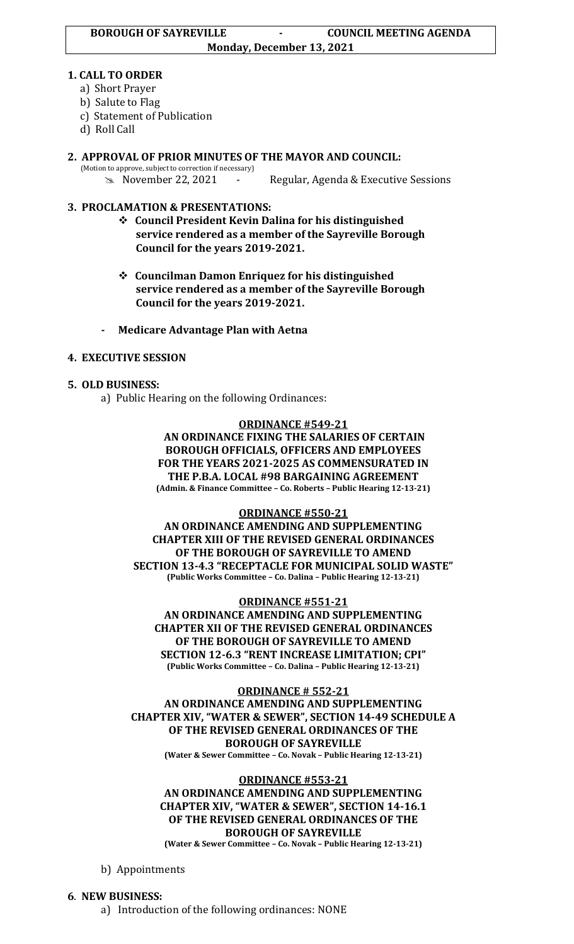#### **1. CALL TO ORDER**

- a) Short Prayer
- b) Salute to Flag
- c) Statement of Publication
- d) Roll Call
- **2. APPROVAL OF PRIOR MINUTES OF THE MAYOR AND COUNCIL:**  (Motion to approve, subject to correction if necessary)

November 22, 2021 - Regular, Agenda & Executive Sessions

# **3. PROCLAMATION & PRESENTATIONS:**

- ❖ **Council President Kevin Dalina for his distinguished service rendered as a member of the Sayreville Borough Council for the years 2019-2021.**
- ❖ **Councilman Damon Enriquez for his distinguished service rendered as a member of the Sayreville Borough Council for the years 2019-2021.**
- **- Medicare Advantage Plan with Aetna**

## **4. EXECUTIVE SESSION**

### **5. OLD BUSINESS:**

a) Public Hearing on the following Ordinances:

#### **ORDINANCE #549-21**

**AN ORDINANCE FIXING THE SALARIES OF CERTAIN BOROUGH OFFICIALS, OFFICERS AND EMPLOYEES FOR THE YEARS 2021-2025 AS COMMENSURATED IN THE P.B.A. LOCAL #98 BARGAINING AGREEMENT (Admin. & Finance Committee – Co. Roberts – Public Hearing 12-13-21)**

#### **ORDINANCE #550-21**

**AN ORDINANCE AMENDING AND SUPPLEMENTING CHAPTER XIII OF THE REVISED GENERAL ORDINANCES OF THE BOROUGH OF SAYREVILLE TO AMEND SECTION 13-4.3 "RECEPTACLE FOR MUNICIPAL SOLID WASTE" (Public Works Committee – Co. Dalina – Public Hearing 12-13-21)**

#### **ORDINANCE #551-21**

**AN ORDINANCE AMENDING AND SUPPLEMENTING CHAPTER XII OF THE REVISED GENERAL ORDINANCES OF THE BOROUGH OF SAYREVILLE TO AMEND SECTION 12-6.3 "RENT INCREASE LIMITATION; CPI" (Public Works Committee – Co. Dalina – Public Hearing 12-13-21)**

**ORDINANCE # 552-21 AN ORDINANCE AMENDING AND SUPPLEMENTING CHAPTER XIV, "WATER & SEWER", SECTION 14-49 SCHEDULE A OF THE REVISED GENERAL ORDINANCES OF THE BOROUGH OF SAYREVILLE (Water & Sewer Committee – Co. Novak – Public Hearing 12-13-21)**

#### **ORDINANCE #553-21**

**AN ORDINANCE AMENDING AND SUPPLEMENTING CHAPTER XIV, "WATER & SEWER", SECTION 14-16.1 OF THE REVISED GENERAL ORDINANCES OF THE BOROUGH OF SAYREVILLE** 

**(Water & Sewer Committee – Co. Novak – Public Hearing 12-13-21)**

b) Appointments

## **6**. **NEW BUSINESS:**

a) Introduction of the following ordinances: NONE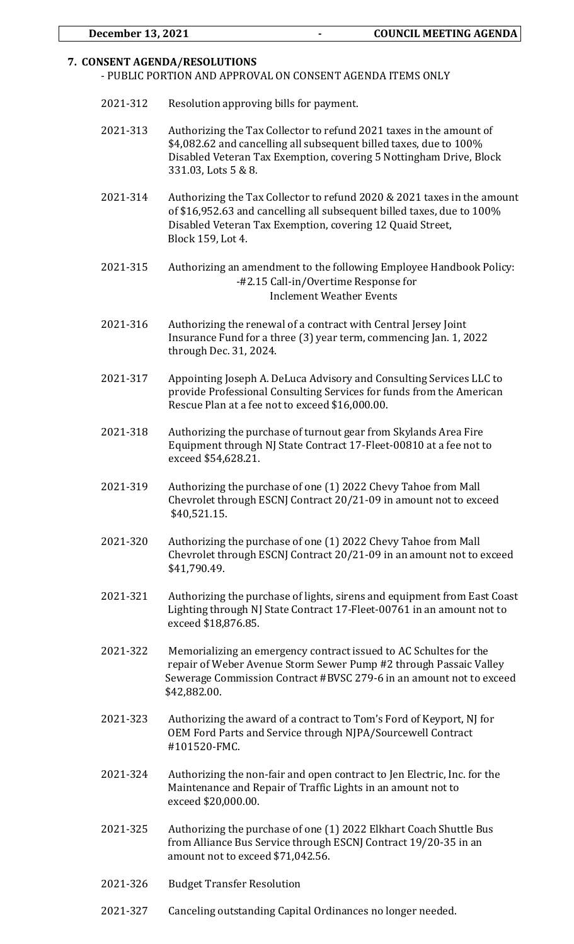### **7. CONSENT AGENDA/RESOLUTIONS**

- PUBLIC PORTION AND APPROVAL ON CONSENT AGENDA ITEMS ONLY

- 2021-312 Resolution approving bills for payment.
- 2021-313 Authorizing the Tax Collector to refund 2021 taxes in the amount of \$4,082.62 and cancelling all subsequent billed taxes, due to 100% Disabled Veteran Tax Exemption, covering 5 Nottingham Drive, Block 331.03, Lots 5 & 8.
- 2021-314 Authorizing the Tax Collector to refund 2020 & 2021 taxes in the amount of \$16,952.63 and cancelling all subsequent billed taxes, due to 100% Disabled Veteran Tax Exemption, covering 12 Quaid Street, Block 159, Lot 4.
- 2021-315 Authorizing an amendment to the following Employee Handbook Policy: -#2.15 Call-in/Overtime Response for Inclement Weather Events
- 2021-316 Authorizing the renewal of a contract with Central Jersey Joint Insurance Fund for a three (3) year term, commencing Jan. 1, 2022 through Dec. 31, 2024.
- 2021-317 Appointing Joseph A. DeLuca Advisory and Consulting Services LLC to provide Professional Consulting Services for funds from the American Rescue Plan at a fee not to exceed \$16,000.00.
- 2021-318 Authorizing the purchase of turnout gear from Skylands Area Fire Equipment through NJ State Contract 17-Fleet-00810 at a fee not to exceed \$54,628.21.
- 2021-319 Authorizing the purchase of one (1) 2022 Chevy Tahoe from Mall Chevrolet through ESCNJ Contract 20/21-09 in amount not to exceed \$40,521.15.
- 2021-320 Authorizing the purchase of one (1) 2022 Chevy Tahoe from Mall Chevrolet through ESCNJ Contract 20/21-09 in an amount not to exceed \$41,790.49.
- 2021-321 Authorizing the purchase of lights, sirens and equipment from East Coast Lighting through NJ State Contract 17-Fleet-00761 in an amount not to exceed \$18,876.85.
- 2021-322 Memorializing an emergency contract issued to AC Schultes for the repair of Weber Avenue Storm Sewer Pump #2 through Passaic Valley Sewerage Commission Contract #BVSC 279-6 in an amount not to exceed \$42,882.00.
- 2021-323 Authorizing the award of a contract to Tom's Ford of Keyport, NJ for OEM Ford Parts and Service through NJPA/Sourcewell Contract #101520-FMC.
- 2021-324 Authorizing the non-fair and open contract to Jen Electric, Inc. for the Maintenance and Repair of Traffic Lights in an amount not to exceed \$20,000.00.
- 2021-325 Authorizing the purchase of one (1) 2022 Elkhart Coach Shuttle Bus from Alliance Bus Service through ESCNJ Contract 19/20-35 in an amount not to exceed \$71,042.56.
- 2021-326 Budget Transfer Resolution
- 2021-327 Canceling outstanding Capital Ordinances no longer needed.